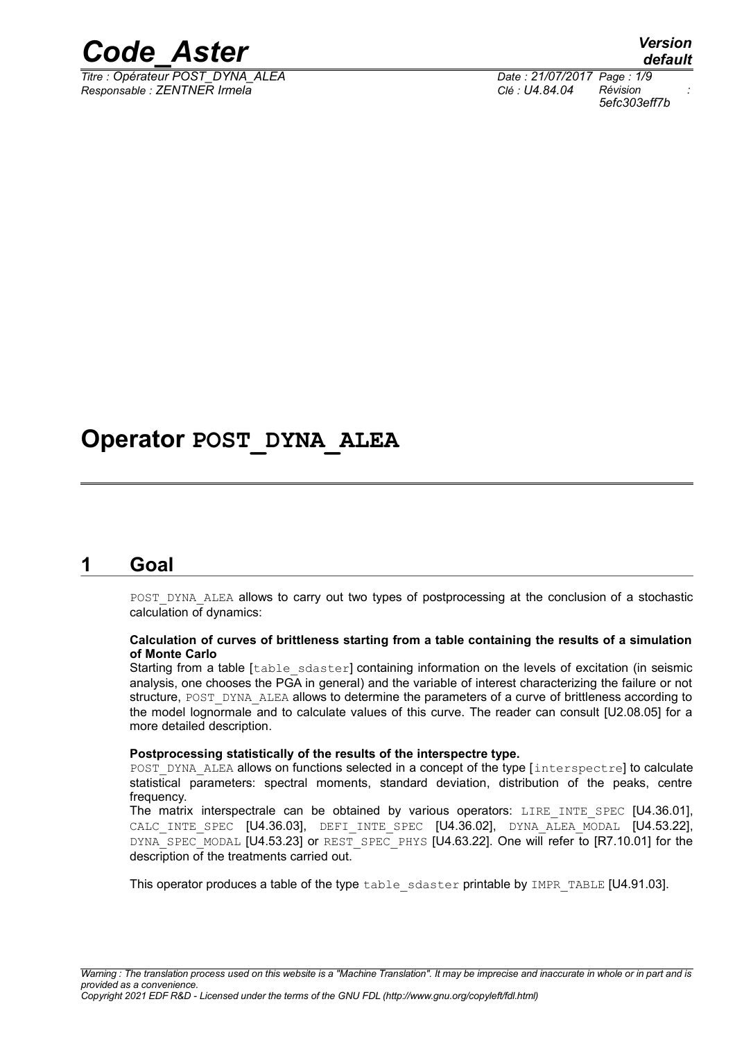

*Titre : Opérateur POST\_DYNA\_ALEA Date : 21/07/2017 Page : 1/9 Responsable : ZENTNER Irmela Clé : U4.84.04 Révision :*

## **Operator POST\_DYNA\_ALEA**

## **1 Goal**

POST DYNA ALEA allows to carry out two types of postprocessing at the conclusion of a stochastic calculation of dynamics:

#### **Calculation of curves of brittleness starting from a table containing the results of a simulation of Monte Carlo**

Starting from a table [table sdaster] containing information on the levels of excitation (in seismic analysis, one chooses the PGA in general) and the variable of interest characterizing the failure or not structure, POST, DYNA, ALEA allows to determine the parameters of a curve of brittleness according to the model lognormale and to calculate values of this curve. The reader can consult [U2.08.05] for a more detailed description.

#### **Postprocessing statistically of the results of the interspectre type.**

POST\_DYNA\_ALEA allows on functions selected in a concept of the type [interspectre] to calculate statistical parameters: spectral moments, standard deviation, distribution of the peaks, centre frequency.

The matrix interspectrale can be obtained by various operators: LIRE INTE SPEC [U4.36.01], CALC INTE SPEC [U4.36.03], DEFI INTE SPEC [U4.36.02], DYNA ALEA MODAL [U4.53.22], DYNA SPEC MODAL [U4.53.23] or REST SPEC PHYS [U4.63.22]. One will refer to [R7.10.01] for the description of the treatments carried out.

This operator produces a table of the type table sdaster printable by IMPR TABLE [U4.91.03].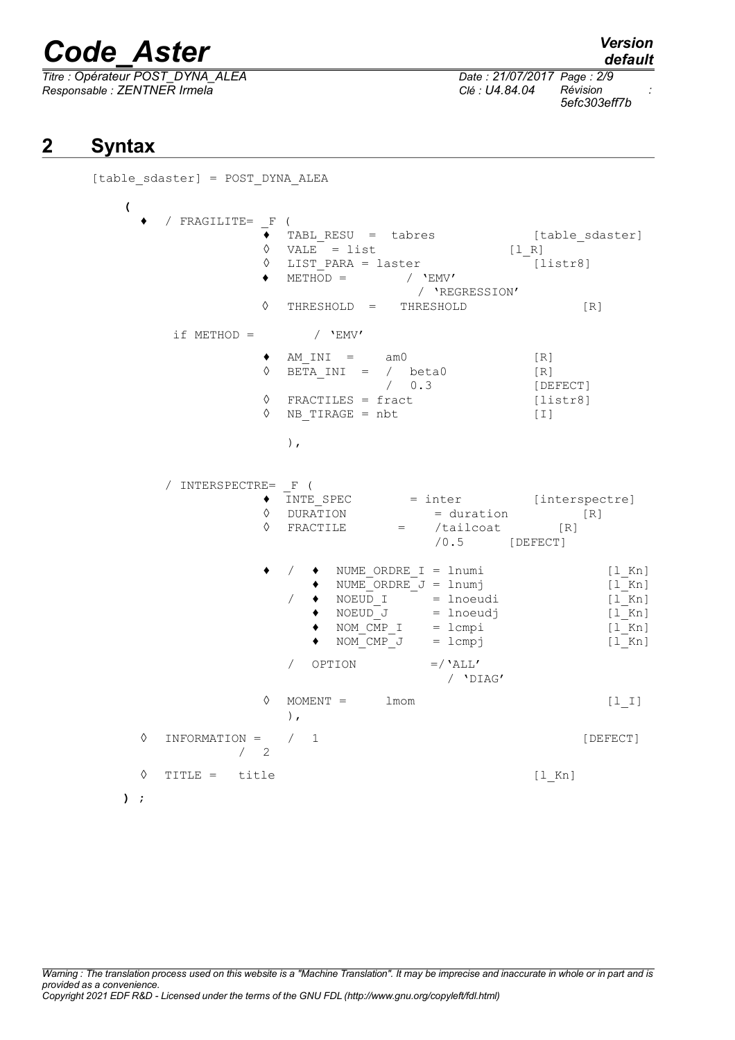# *Code\_Aster Version*<br>*Citre* : Opérateur POST DYNA ALEA Date : 21/07/2017 Page : 2/9

*Titre : Opérateur POST\_DYNA\_ALEA Date : 21/07/2017 Page : 2/9 Responsable : ZENTNER Irmela Clé : U4.84.04 Révision :*

## **2 Syntax**

[table\_sdaster] = POST\_DYNA\_ALEA

**(** ♦ / FRAGILITE= \_F ( ♦ TABL\_RESU = tabres [table\_sdaster]  $\sqrt{VALE}$  = list [l R]  $\begin{array}{ll}\n\Diamond & \text{LIST\_PARA} = \text{laster} \\
\bullet & \text{ METHOD} = & / \ \text{'EMV'}\n\end{array}$  [listr8]  $\triangle$  METHOD = / 'EMV' / 'REGRESSION' ◊ THRESHOLD = THRESHOLD [R] if  $METHOD = / 'EW'$  $\begin{array}{ccc} \bullet & \text{AM\_INI} & = & \text{am0} \\ \bullet & \text{BETA INI} & = & / \text{beta} \end{array}$  [R]  $BETA$ <sub>INI</sub> = / beta0 [R]<br>
/ 0.3 [DE [DEFECT]  $\Diamond$  FRACTILES = fract [listr8]  $\Diamond$  NB TIRAGE = nbt [I] ),  $\begin{array}{ccc} \text{/}\end{array} \begin{array}{c} \text{INTERSPECTRE=} & \begin{array}{cc} \text{F} & \text{(~} \\ \text{~} & \text{INTE\_SPEC} \end{array} \end{array}$  $=$  inter [interspectre]  $\begin{array}{ccc}\n\circ & \text{DURATION} \\
\circ & \text{FRACTILE} \\
\circ & \text{FRACTILE} \\
\end{array}$  = /tailcoat  $\begin{array}{ccc}\n\circ & \text{[R]} \\
\circ & \text{[R]}\n\end{array}$ ◊ FRACTILE = /tailcoat [R] /0.5 [DEFECT] ♦ / ♦ NUME\_ORDRE\_I = lnumi [l\_Kn]  $\bullet$  NUME ORDRE  $J = \text{lnum}$ j [l\_Kn] / ♦ NOEUD\_I = lnoeudi [l\_Kn]  $\bullet$  NOEUD J = lnoeudj [l Kn]  $\bullet$  NOM CMP I = lcmpi [l\_Kn]  $NOM$  $CMP$  $J$  = lcmpj  $[1^KKn]$  $\angle$  OPTION =/'ALL' / 'DIAG' ◊ MOMENT = lmom [l\_I] ), ◊ INFORMATION = / 1 [DEFECT] / 2 ◊ TITLE = title [l\_Kn] **) ;**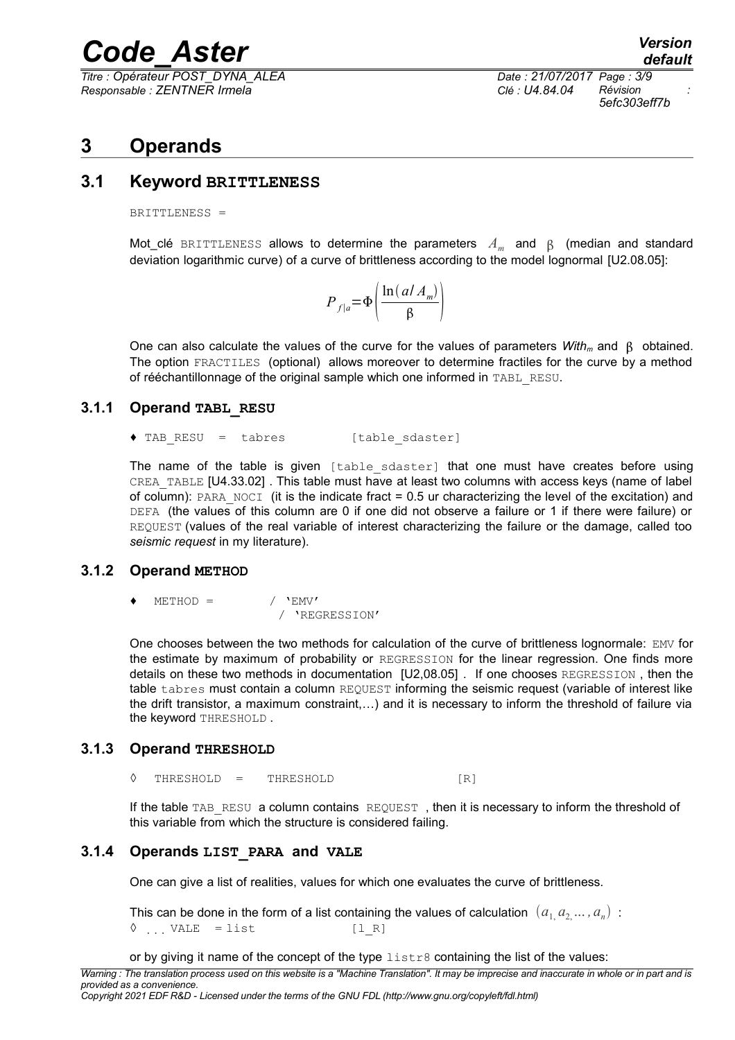*Titre : Opérateur POST\_DYNA\_ALEA Date : 21/07/2017 Page : 3/9 Responsable : ZENTNER Irmela Clé : U4.84.04 Révision :*

*5efc303eff7b*

## **3 Operands**

## **3.1 Keyword BRITTLENESS**

BRITTLENESS =

Mot\_clé  $\texttt{BRITTLENESS}$  allows to determine the parameters  $\,A_{m}\,$  and  $\,\beta\,$  (median and standard deviation logarithmic curve) of a curve of brittleness according to the model lognormal [U2.08.05]:

$$
P_{f|a} = \Phi\left(\frac{\ln\left(a/A_{m}\right)}{\beta}\right)
$$

One can also calculate the values of the curve for the values of parameters  $With_m$  and  $\beta$  obtained. The option FRACTILES (optional) allows moreover to determine fractiles for the curve by a method of rééchantillonnage of the original sample which one informed in TABL\_RESU.

### **3.1.1 Operand TABL\_RESU**

♦ TAB\_RESU = tabres [table\_sdaster]

The name of the table is given [table sdaster] that one must have creates before using CREA\_TABLE [U4.33.02] . This table must have at least two columns with access keys (name of label of column): PARA\_NOCI (it is the indicate fract =  $0.5$  ur characterizing the level of the excitation) and DEFA (the values of this column are 0 if one did not observe a failure or 1 if there were failure) or REQUEST (values of the real variable of interest characterizing the failure or the damage, called too *seismic request* in my literature).

### **3.1.2 Operand METHOD**

 $METHOD = / 'EW'$ / 'REGRESSION'

One chooses between the two methods for calculation of the curve of brittleness lognormale: EMV for the estimate by maximum of probability or REGRESSION for the linear regression. One finds more details on these two methods in documentation [U2,08.05]. If one chooses REGRESSION, then the table tabres must contain a column REQUEST informing the seismic request (variable of interest like the drift transistor, a maximum constraint,…) and it is necessary to inform the threshold of failure via the keyword THRESHOLD .

### **3.1.3 Operand THRESHOLD**

◊ THRESHOLD = THRESHOLD [R]

If the table TAB\_RESU a column contains REQUEST, then it is necessary to inform the threshold of this variable from which the structure is considered failing.

### **3.1.4 Operands LIST\_PARA and VALE**

One can give a list of realities, values for which one evaluates the curve of brittleness.

This can be done in the form of a list containing the values of calculation  $\; (a_{1,} a_{2,} ... , a_{n}) \;$  :  $\Diamond$  VALE = list  $[1 R]$ 

or by giving it name of the concept of the type  $list2$  containing the list of the values:

*Warning : The translation process used on this website is a "Machine Translation". It may be imprecise and inaccurate in whole or in part and is provided as a convenience.*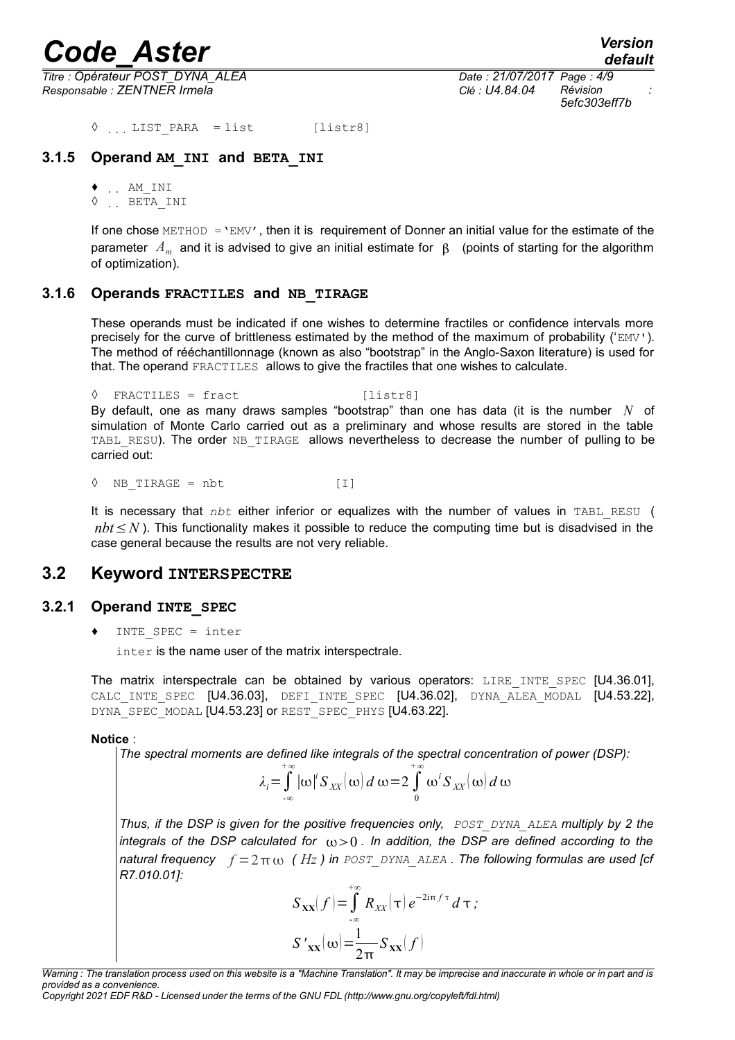$\overline{T}$ itre : Opérateur POST\_DYNA\_ALEA *Responsable : ZENTNER Irmela Clé : U4.84.04 Révision :*

*5efc303eff7b*

 $\sqrt[6]{ }$  ... LIST PARA = list [listr8]

#### **3.1.5 Operand AM\_INI and BETA\_INI**

 $\bullet$  .. AM INI

 $\lozenge$  . BETA INI

If one chose  $METHOD = 'EMV'$ , then it is requirement of Donner an initial value for the estimate of the parameter  $A_m^+$  and it is advised to give an initial estimate for  $\,\beta^-$  (points of starting for the algorithm of optimization).

#### **3.1.6 Operands FRACTILES and NB\_TIRAGE**

These operands must be indicated if one wishes to determine fractiles or confidence intervals more precisely for the curve of brittleness estimated by the method of the maximum of probability ('EMV'). The method of rééchantillonnage (known as also "bootstrap" in the Anglo-Saxon literature) is used for that. The operand FRACTILES allows to give the fractiles that one wishes to calculate.

◊ FRACTILES = fract [listr8]

By default, one as many draws samples "bootstrap" than one has data (it is the number *N* of simulation of Monte Carlo carried out as a preliminary and whose results are stored in the table TABL RESU). The order NB TIRAGE allows nevertheless to decrease the number of pulling to be carried out:

◊ NB\_TIRAGE = nbt [I]

It is necessary that *nbt* either inferior or equalizes with the number of values in TABL RESU ( *nbt* ≤ *N*). This functionality makes it possible to reduce the computing time but is disadvised in the case general because the results are not very reliable.

### **3.2 Keyword INTERSPECTRE**

#### **3.2.1 Operand INTE\_SPEC**

♦ INTE\_SPEC = inter

inter is the name user of the matrix interspectrale.

The matrix interspectrale can be obtained by various operators: LIRE INTE SPEC [U4.36.01], CALC INTE SPEC [U4.36.03], DEFI INTE SPEC [U4.36.02], DYNA ALEA MODAL [U4.53.22], DYNA SPEC MODAL [U4.53.23] or REST SPEC PHYS [U4.63.22].

#### **Notice** :

*The spectral moments are defined like integrals of the spectral concentration of power (DSP):*

$$
\lambda_i = \int_{-\infty}^{+\infty} |\omega|^i S_{XX}(\omega) d\omega = 2 \int_{0}^{+\infty} \omega^i S_{XX}(\omega) d\omega
$$

*Thus, if the DSP is given for the positive frequencies only, POST\_DYNA\_ALEA multiply by 2 the* integrals of the DSP calculated for  $\omega > 0$ . In addition, the DSP are defined according to the *natural frequency*  $f = 2 \pi \omega$  (*Hz*) in *POST* DYNA ALEA *. The following formulas are used [cf R7.010.01]:*

$$
S_{xx}(f) = \int_{-\infty}^{+\infty} R_{xx}(\tau) e^{-2i\pi f \tau} d\tau;
$$
  

$$
S'_{xx}(\omega) = \frac{1}{2\pi} S_{xx}(f)
$$

*Copyright 2021 EDF R&D - Licensed under the terms of the GNU FDL (http://www.gnu.org/copyleft/fdl.html)*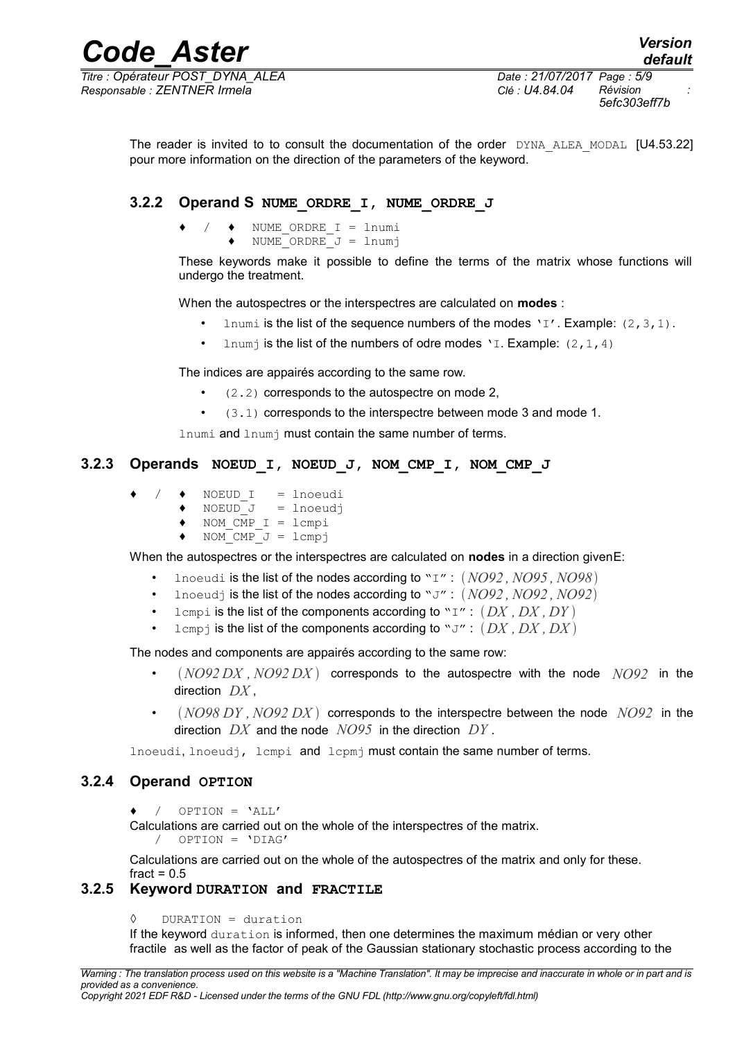*5efc303eff7b*

The reader is invited to to consult the documentation of the order DYNA ALEA MODAL [U4.53.22] pour more information on the direction of the parameters of the keyword.

## **3.2.2 Operand S NUME\_ORDRE\_I, NUME\_ORDRE\_J**

- $/ \rightarrow$  NUME ORDRE I = lnumi
	- $\triangleleft$  NUME ORDRE  $J =$  lnumj

These keywords make it possible to define the terms of the matrix whose functions will undergo the treatment.

When the autospectres or the interspectres are calculated on **modes** :

- lnumi is the list of the sequence numbers of the modes  $Y_1'$ . Example: (2,3,1).
- lnumj is the list of the numbers of odre modes  $Y_I$ . Example:  $(2, 1, 4)$

The indices are appairés according to the same row.

- (2.2) corresponds to the autospectre on mode 2,
- (3.1) corresponds to the interspectre between mode 3 and mode 1.

lnumi and lnumj must contain the same number of terms.

## **3.2.3 Operands NOEUD\_I, NOEUD\_J, NOM\_CMP\_I, NOM\_CMP\_J**

- $\triangleleft$  NOEUD I = lnoeudi
	- $\triangleleft$  NOEUD J = lnoeudj
	- $\bullet$  NOM CMP I = lcmpi
	- $\bullet$  NOM CMP  $J =$  lcmpj

When the autospectres or the interspectres are calculated on **nodes** in a direction givenE:

- lnoeudi is the list of the nodes according to "I" : *NO92 , NO95 , NO98*
- Lnoeud<sub>1</sub> is the list of the nodes according to " $J''$  :  $(NO92, NO92, NO92)$
- Lempi is the list of the components according to "I" :  $(DX, DX, DY)$
- lcmpj is the list of the components according to " $J''$ :  $(DX, DX, DX)$

The nodes and components are appairés according to the same row:

- *(NO92 DX, NO92 DX)* corresponds to the autospectre with the node *NO92* in the direction *DX* ,
- *NO98 DY , NO92 DX* corresponds to the interspectre between the node *NO92* in the direction *DX* and the node *NO95* in the direction *DY* .

lnoeudi, lnoeudi, lcmpi and lcpmj must contain the same number of terms.

## **3.2.4 Operand OPTION**

♦ / OPTION = 'ALL'

Calculations are carried out on the whole of the interspectres of the matrix. / OPTION = 'DIAG'

Calculations are carried out on the whole of the autospectres of the matrix and only for these. fract  $= 0.5$ 

## **3.2.5 Keyword DURATION and FRACTILE**

◊ DURATION = duration

If the keyword duration is informed, then one determines the maximum médian or very other fractile as well as the factor of peak of the Gaussian stationary stochastic process according to the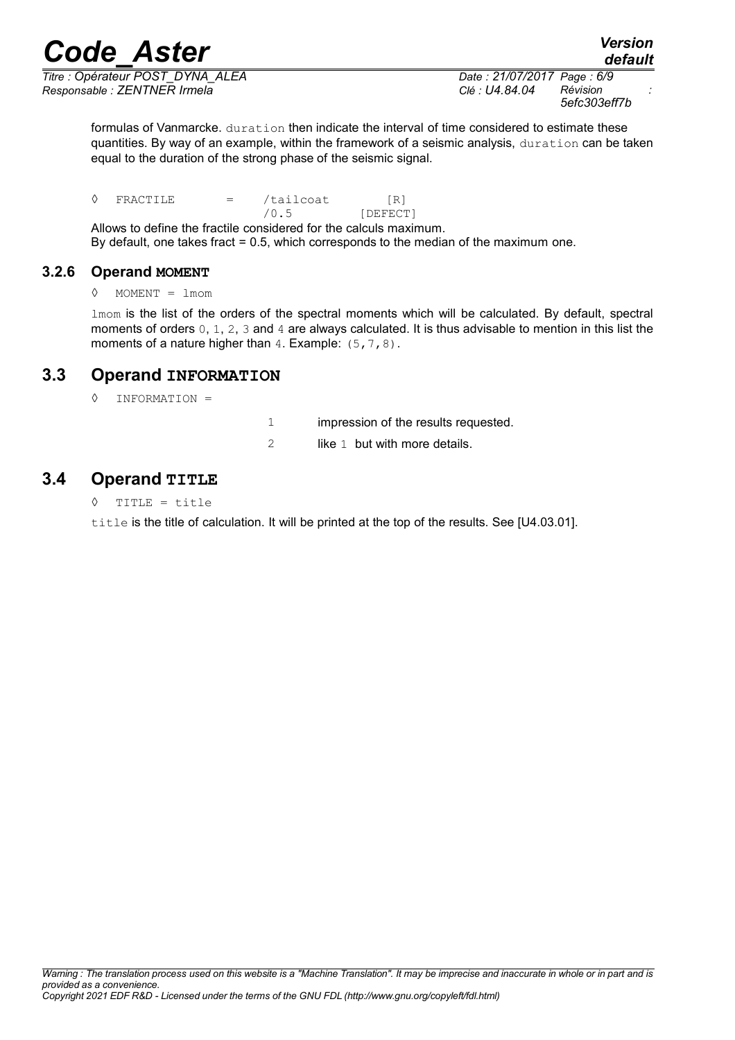*Titre : Opérateur POST\_DYNA\_ALEA Date : 21/07/2017 Page : 6/9 Responsable : ZENTNER Irmela Clé : U4.84.04 Révision :*

*5efc303eff7b*

*default*

formulas of Vanmarcke. duration then indicate the interval of time considered to estimate these quantities. By way of an example, within the framework of a seismic analysis, duration can be taken equal to the duration of the strong phase of the seismic signal.

 $\sqrt[6]{}$  FRACTILE = /tailcoat [R]<br>  $\sqrt[6]{0.5}$  [DEFECT

[DEFECT]

Allows to define the fractile considered for the calculs maximum. By default, one takes fract = 0.5, which corresponds to the median of the maximum one.

### **3.2.6 Operand MOMENT**

◊ MOMENT = lmom

lmom is the list of the orders of the spectral moments which will be calculated. By default, spectral moments of orders 0, 1, 2, 3 and 4 are always calculated. It is thus advisable to mention in this list the moments of a nature higher than 4. Example: (5, 7, 8).

## **3.3 Operand INFORMATION**

◊ INFORMATION =

1 impression of the results requested.

2 like 1 but with more details.

## **3.4 Operand TITLE**

◊ TITLE = title

title is the title of calculation. It will be printed at the top of the results. See [U4.03.01].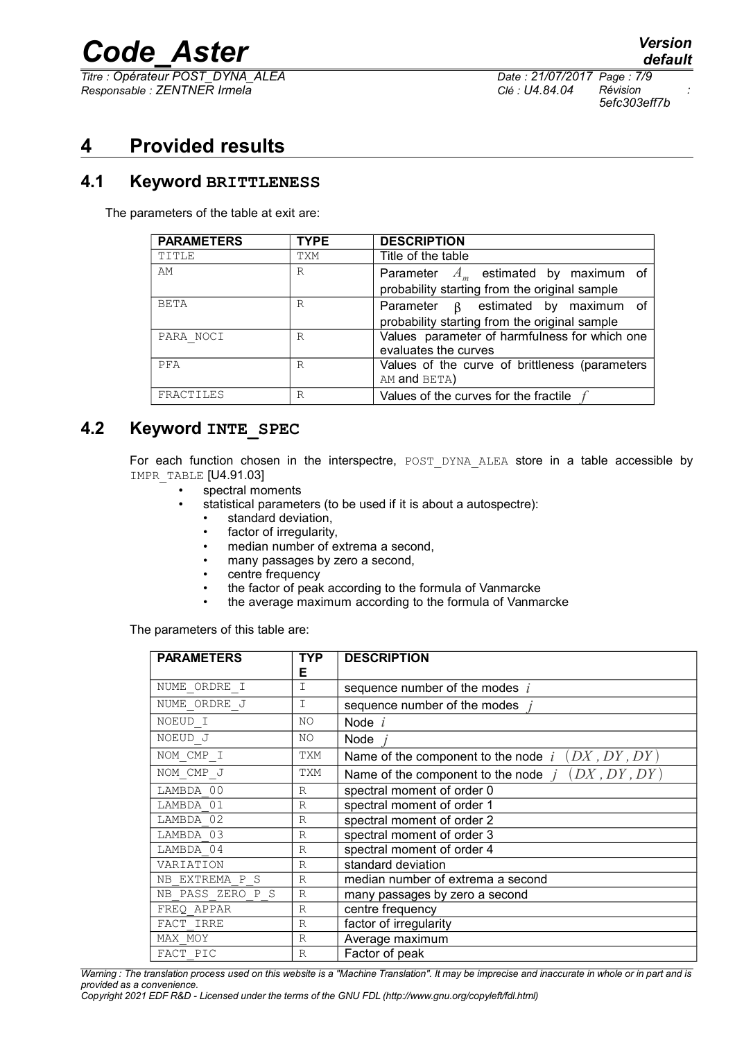$\overline{T}$ itre : Opérateur POST\_DYNA\_ALEA *Responsable : ZENTNER Irmela Clé : U4.84.04 Révision :*

*5efc303eff7b*

## **4 Provided results**

## **4.1 Keyword BRITTLENESS**

The parameters of the table at exit are:

| <b>PARAMETERS</b> | <b>TYPE</b> | <b>DESCRIPTION</b>                             |
|-------------------|-------------|------------------------------------------------|
| TITLE             | TXM         | Title of the table                             |
| AM                | R           | Parameter $A_m$ estimated by maximum of        |
|                   |             | probability starting from the original sample  |
| <b>BETA</b>       | R           | B estimated by maximum of<br>Parameter         |
|                   |             | probability starting from the original sample  |
| PARA NOCI         | R           | Values parameter of harmfulness for which one  |
|                   |             | evaluates the curves                           |
| PFA               | R           | Values of the curve of brittleness (parameters |
|                   |             | AM and BETA)                                   |
| FRACTILES         | R           | Values of the curves for the fractile          |

## **4.2 Keyword INTE\_SPEC**

For each function chosen in the interspectre, POST DYNA ALEA store in a table accessible by IMPR TABLE [U4.91.03]

- spectral moments
- statistical parameters (to be used if it is about a autospectre):
	- standard deviation,
	- factor of irregularity,
	- median number of extrema a second,
	- many passages by zero a second,
	- centre frequency
	- the factor of peak according to the formula of Vanmarcke
	- the average maximum according to the formula of Vanmarcke

The parameters of this table are:

| <b>PARAMETERS</b> | <b>TYP</b><br>Е | <b>DESCRIPTION</b>                                    |
|-------------------|-----------------|-------------------------------------------------------|
| NUME ORDRE I      | I               | sequence number of the modes $i$                      |
| NUME ORDRE J      | Τ               | sequence number of the modes                          |
| NOEUD I           | NO              | Node $i$                                              |
| NOEUD J           | NO              | Node $j$                                              |
| NOM CMP I         | TXM             | (DX, DY, DY)<br>Name of the component to the node $i$ |
| NOM CMP J         | TXM             | (DX, DY, DY)<br>Name of the component to the node $i$ |
| LAMBDA 00         | R               | spectral moment of order 0                            |
| LAMBDA 01         | R               | spectral moment of order 1                            |
| LAMBDA 02         | R               | spectral moment of order 2                            |
| LAMBDA 03         | $\mathbb{R}$    | spectral moment of order 3                            |
| LAMBDA 04         | $\mathbb{R}$    | spectral moment of order 4                            |
| VARIATION         | $\mathbb{R}$    | standard deviation                                    |
| NB EXTREMA P S    | R               | median number of extrema a second                     |
| NB PASS ZERO P S  | R               | many passages by zero a second                        |
| FREO APPAR        | R               | centre frequency                                      |
| FACT IRRE         | R               | factor of irregularity                                |
| MAX MOY           | R               | Average maximum                                       |
| FACT PIC          | R               | Factor of peak                                        |

*Warning : The translation process used on this website is a "Machine Translation". It may be imprecise and inaccurate in whole or in part and is provided as a convenience.*

*Copyright 2021 EDF R&D - Licensed under the terms of the GNU FDL (http://www.gnu.org/copyleft/fdl.html)*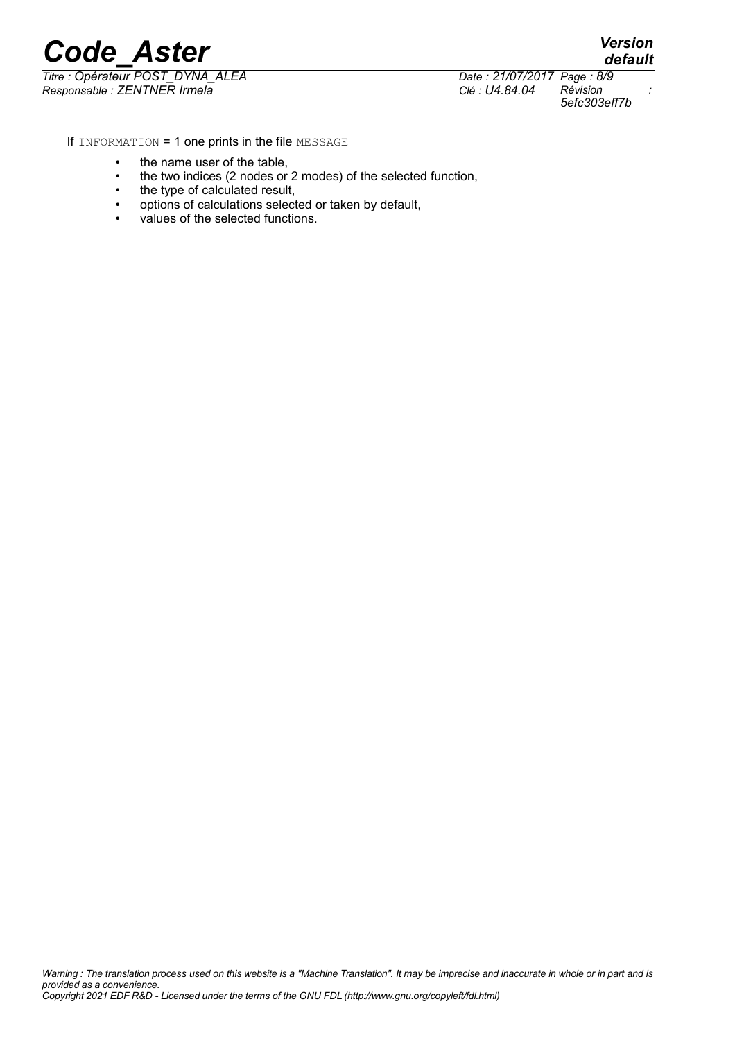

*Titre : Opérateur POST\_DYNA\_ALEA Date : 21/07/2017 Page : 8/9 Responsable : ZENTNER Irmela Clé : U4.84.04 Révision :*

*5efc303eff7b*

*default*

If INFORMATION = 1 one prints in the file MESSAGE

- the name user of the table,
- the two indices (2 nodes or 2 modes) of the selected function,
- the type of calculated result,
- options of calculations selected or taken by default,
- values of the selected functions.